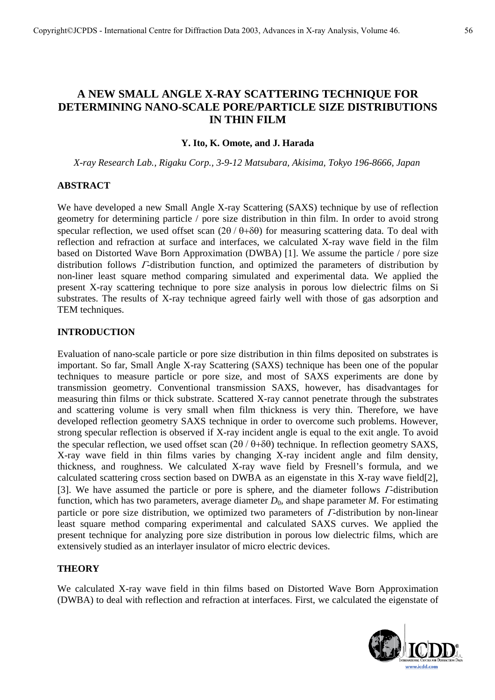# **A NEW SMALL ANGLE X-RAY SCATTERING TECHNIQUE FOR DETERMINING NANO-SCALE PORE/PARTICLE SIZE DISTRIBUTIONS IN THIN FILM**

### **Y. Ito, K. Omote, and J. Harada**

*X-ray Research Lab., Rigaku Corp., 3-9-12 Matsubara, Akisima, Tokyo 196-8666, Japan* 

### **ABSTRACT**

We have developed a new Small Angle X-ray Scattering (SAXS) technique by use of reflection geometry for determining particle / pore size distribution in thin film. In order to avoid strong specular reflection, we used offset scan  $(2\theta / \theta + \delta\theta)$  for measuring scattering data. To deal with reflection and refraction at surface and interfaces, we calculated X-ray wave field in the film based on Distorted Wave Born Approximation (DWBA) [1]. We assume the particle / pore size distribution follows  $\Gamma$ -distribution function, and optimized the parameters of distribution by non-liner least square method comparing simulated and experimental data. We applied the present X-ray scattering technique to pore size analysis in porous low dielectric films on Si substrates. The results of X-ray technique agreed fairly well with those of gas adsorption and TEM techniques.

### **INTRODUCTION**

Evaluation of nano-scale particle or pore size distribution in thin films deposited on substrates is important. So far, Small Angle X-ray Scattering (SAXS) technique has been one of the popular techniques to measure particle or pore size, and most of SAXS experiments are done by transmission geometry. Conventional transmission SAXS, however, has disadvantages for measuring thin films or thick substrate. Scattered X-ray cannot penetrate through the substrates and scattering volume is very small when film thickness is very thin. Therefore, we have developed reflection geometry SAXS technique in order to overcome such problems. However, strong specular reflection is observed if X-ray incident angle is equal to the exit angle. To avoid the specular reflection, we used offset scan  $(2\theta / \theta + \delta\theta)$  technique. In reflection geometry SAXS, X-ray wave field in thin films varies by changing X-ray incident angle and film density, thickness, and roughness. We calculated X-ray wave field by Fresnell's formula, and we calculated scattering cross section based on DWBA as an eigenstate in this X-ray wave field[2], [3]. We have assumed the particle or pore is sphere, and the diameter follows Γ-distribution function, which has two parameters, average diameter  $D_0$ , and shape parameter *M*. For estimating particle or pore size distribution, we optimized two parameters of Γ-distribution by non-linear least square method comparing experimental and calculated SAXS curves. We applied the present technique for analyzing pore size distribution in porous low dielectric films, which are extensively studied as an interlayer insulator of micro electric devices.

## **THEORY**

We calculated X-ray wave field in thin films based on Distorted Wave Born Approximation (DWBA) to deal with reflection and refraction at interfaces. First, we calculated the eigenstate of

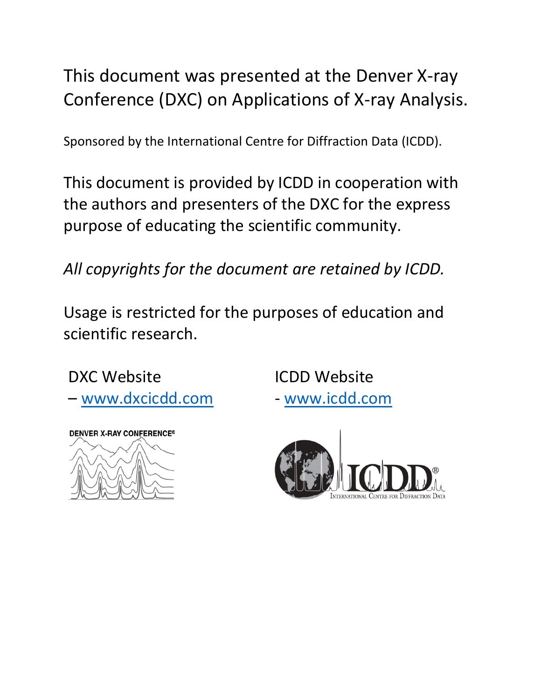# This document was presented at the Denver X-ray Conference (DXC) on Applications of X-ray Analysis.

Sponsored by the International Centre for Diffraction Data (ICDD).

This document is provided by ICDD in cooperation with the authors and presenters of the DXC for the express purpose of educating the scientific community.

*All copyrights for the document are retained by ICDD.*

Usage is restricted for the purposes of education and scientific research.

DXC Website

– [www.dxcicdd.com](http://www.dxcicdd.com/)



ICDD Website - [www.icdd.com](http://www.icdd.com/)

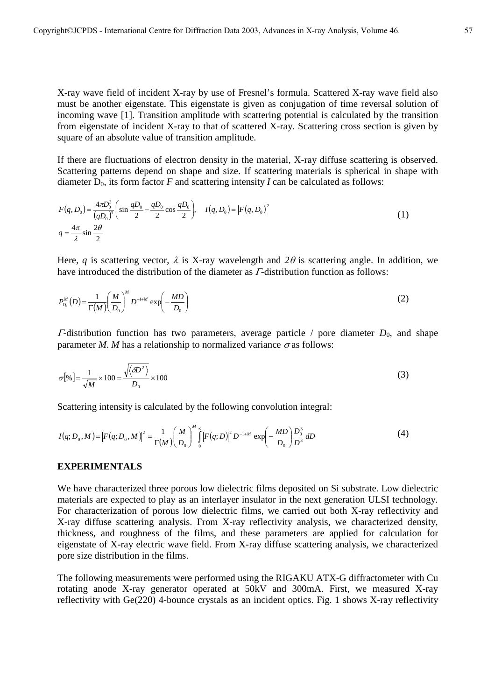X-ray wave field of incident X-ray by use of Fresnel's formula. Scattered X-ray wave field also must be another eigenstate. This eigenstate is given as conjugation of time reversal solution of incoming wave [1]. Transition amplitude with scattering potential is calculated by the transition from eigenstate of incident X-ray to that of scattered X-ray. Scattering cross section is given by square of an absolute value of transition amplitude.

If there are fluctuations of electron density in the material, X-ray diffuse scattering is observed. Scattering patterns depend on shape and size. If scattering materials is spherical in shape with diameter  $D_0$ , its form factor *F* and scattering intensity *I* can be calculated as follows:

$$
F(q, D_0) = \frac{4\pi D_0^3}{(qD_0)^3} \left( \sin \frac{qD_0}{2} - \frac{qD_0}{2} \cos \frac{qD_0}{2} \right), \quad I(q, D_0) = |F(q, D_0)|^2
$$
  
\n
$$
q = \frac{4\pi}{\lambda} \sin \frac{2\theta}{2}
$$
\n(1)

Here, *q* is scattering vector,  $\lambda$  is X-ray wavelength and  $2\theta$  is scattering angle. In addition, we have introduced the distribution of the diameter as *Γ*-distribution function as follows:

$$
P_{D_0}^M(D) = \frac{1}{\Gamma(M)} \left(\frac{M}{D_0}\right)^M D^{-1+M} \exp\left(-\frac{MD}{D_0}\right) \tag{2}
$$

 $\Gamma$ -distribution function has two parameters, average particle / pore diameter  $D_0$ , and shape parameter *M*. *M* has a relationship to normalized variance  $\sigma$  as follows:

$$
\sigma[\%] = \frac{1}{\sqrt{M}} \times 100 = \frac{\sqrt{\langle \delta D^2 \rangle}}{D_0} \times 100
$$
\n(3)

Scattering intensity is calculated by the following convolution integral:

$$
I(q; D_0, M) = |F(q; D_0, M)|^2 = \frac{1}{\Gamma(M)} \left(\frac{M}{D_0}\right)^M \int_0^{\infty} |F(q; D)|^2 D^{-1+M} \exp\left(-\frac{MD}{D_0}\right) \frac{D_0^3}{D^3} dD \tag{4}
$$

## **EXPERIMENTALS**

We have characterized three porous low dielectric films deposited on Si substrate. Low dielectric materials are expected to play as an interlayer insulator in the next generation ULSI technology. For characterization of porous low dielectric films, we carried out both X-ray reflectivity and X-ray diffuse scattering analysis. From X-ray reflectivity analysis, we characterized density, thickness, and roughness of the films, and these parameters are applied for calculation for eigenstate of X-ray electric wave field. From X-ray diffuse scattering analysis, we characterized pore size distribution in the films.

The following measurements were performed using the RIGAKU ATX-G diffractometer with Cu rotating anode X-ray generator operated at 50kV and 300mA. First, we measured X-ray reflectivity with Ge(220) 4-bounce crystals as an incident optics. Fig. 1 shows X-ray reflectivity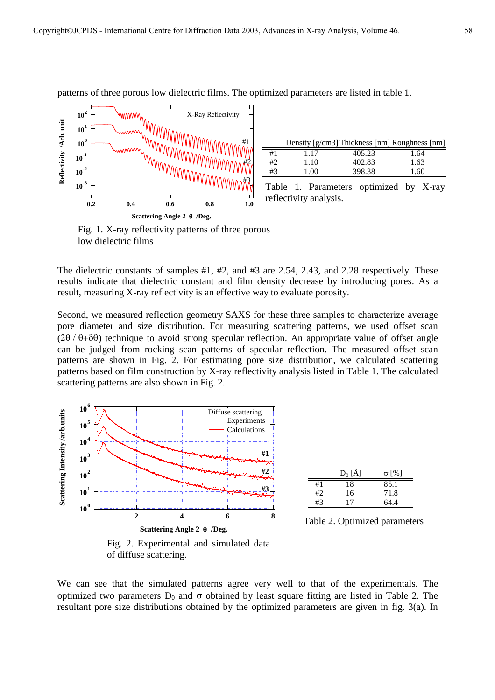

|    |      | Density [g/cm3] Thickness [nm] Roughness [nm] |      |
|----|------|-----------------------------------------------|------|
| #1 | 1.17 | 405.23                                        | 1.64 |
| #2 | 1.10 | 402.83                                        | 1.63 |
| #3 | 1 00 | 398.38                                        | 1.60 |
|    |      |                                               |      |

patterns of three porous low dielectric films. The optimized parameters are listed in table 1.

Table 1. Parameters optimized by X-ray reflectivity analysis.



The dielectric constants of samples #1, #2, and #3 are 2.54, 2.43, and 2.28 respectively. These results indicate that dielectric constant and film density decrease by introducing pores. As a result, measuring X-ray reflectivity is an effective way to evaluate porosity.

Second, we measured reflection geometry SAXS for these three samples to characterize average pore diameter and size distribution. For measuring scattering patterns, we used offset scan  $(2\theta/\theta+\delta\theta)$  technique to avoid strong specular reflection. An appropriate value of offset angle can be judged from rocking scan patterns of specular reflection. The measured offset scan patterns are shown in Fig. 2. For estimating pore size distribution, we calculated scattering patterns based on film construction by X-ray reflectivity analysis listed in Table 1. The calculated scattering patterns are also shown in Fig. 2.



Fig. 2. Experimental and simulated data of diffuse scattering.

We can see that the simulated patterns agree very well to that of the experimentals. The optimized two parameters  $D_0$  and  $\sigma$  obtained by least square fitting are listed in Table 2. The resultant pore size distributions obtained by the optimized parameters are given in fig. 3(a). In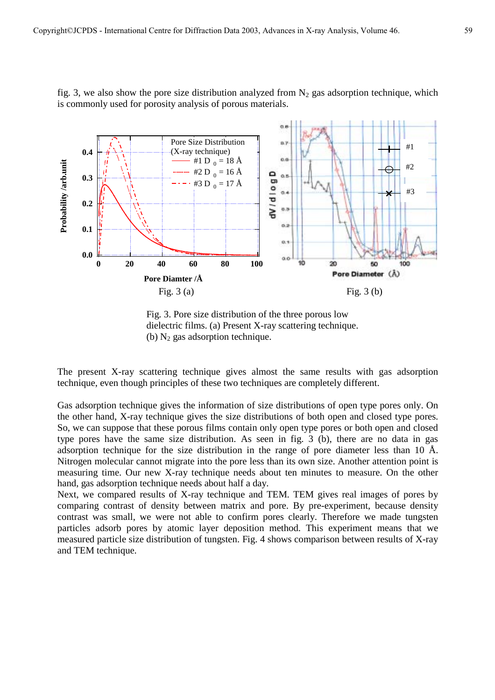

fig. 3, we also show the pore size distribution analyzed from  $N_2$  gas adsorption technique, which is commonly used for porosity analysis of porous materials.

Fig. 3. Pore size distribution of the three porous low dielectric films. (a) Present X-ray scattering technique. (b)  $N_2$  gas adsorption technique.

The present X-ray scattering technique gives almost the same results with gas adsorption technique, even though principles of these two techniques are completely different.

Gas adsorption technique gives the information of size distributions of open type pores only. On the other hand, X-ray technique gives the size distributions of both open and closed type pores. So, we can suppose that these porous films contain only open type pores or both open and closed type pores have the same size distribution. As seen in fig. 3 (b), there are no data in gas adsorption technique for the size distribution in the range of pore diameter less than 10 Å. Nitrogen molecular cannot migrate into the pore less than its own size. Another attention point is measuring time. Our new X-ray technique needs about ten minutes to measure. On the other hand, gas adsorption technique needs about half a day.

Next, we compared results of X-ray technique and TEM. TEM gives real images of pores by comparing contrast of density between matrix and pore. By pre-experiment, because density contrast was small, we were not able to confirm pores clearly. Therefore we made tungsten particles adsorb pores by atomic layer deposition method. This experiment means that we measured particle size distribution of tungsten. Fig. 4 shows comparison between results of X-ray and TEM technique.